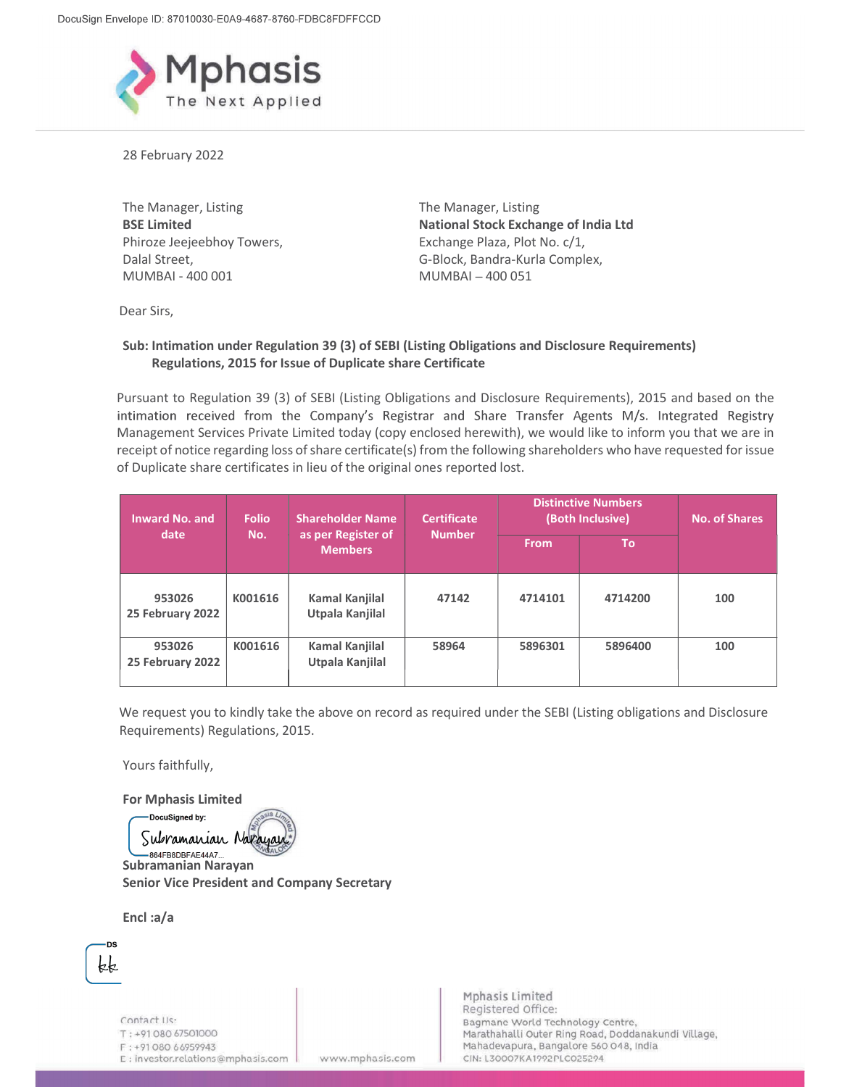

28 February 2022

The Manager, Listing BSE Limited Phiroze Jeejeebhoy Towers, Dalal Street,<br>MUMBAI - 400 001

The Manager, Listing National Stock Exchange of India Ltd Exchange Plaza, Plot No. c/1, G-Block, Bandra-Kurla Complex,  $MUMBAI - 400051$ 

Dear Sirs,

## Sub: Intimation under Regulation 39 (3) of SEBI (Listing Obligations and Disclosure Requirements) Regulations, 2015 for Issue of Duplicate share Certificate

Pursuant to Regulation 39 (3) of SEBI (Listing Obligations and Disclosure Requirements), 2015 and based on the intimation received from the Company's Registrar and Share Transfer Agents M/s. Integrated Registry Management Services Private Limited today (copy enclosed herewith), we would like to inform you that we are in receipt of notice regarding loss of share certificate(s) from the following shareholders who have requested for issue of Duplicate share certificates in lieu of the original ones reported lost.

| <b>Inward No. and</b><br>date | <b>Folio</b><br>No. | <b>Shareholder Name</b><br>as per Register of<br><b>Members</b> | <b>Certificate</b><br><b>Number</b> | <b>Distinctive Numbers</b><br>(Both Inclusive) |           | <b>No. of Shares</b> |
|-------------------------------|---------------------|-----------------------------------------------------------------|-------------------------------------|------------------------------------------------|-----------|----------------------|
|                               |                     |                                                                 |                                     | <b>From</b>                                    | <b>To</b> |                      |
| 953026<br>25 February 2022    | K001616             | Kamal Kanjilal<br>Utpala Kanjilal                               | 47142                               | 4714101                                        | 4714200   | 100                  |
| 953026<br>25 February 2022    | K001616             | Kamal Kanjilal<br>Utpala Kanjilal                               | 58964                               | 5896301                                        | 5896400   | 100                  |

We request you to kindly take the above on record as required under the SEBI (Listing obligations and Disclosure Requirements) Regulations, 2015.

www.mphasis.com

Yours faithfully,

For Mphasis Limited

DocuSigned by:

Subramanian Nara Subramanian Narayan Senior Vice President and Company Secretary

Encl :a/a



Contact Us: T: +91 080 67501000 F: +91 080 66959943 E : investor.relations@mphasis.com Mphasis Limited Registered Office: Bagmane World Technology Centre, Marathahalli Outer Ring Road, Doddanakundi Village, Mahadevapura, Bangalore 560 048, India CIN: L30007KA1992PLC025294